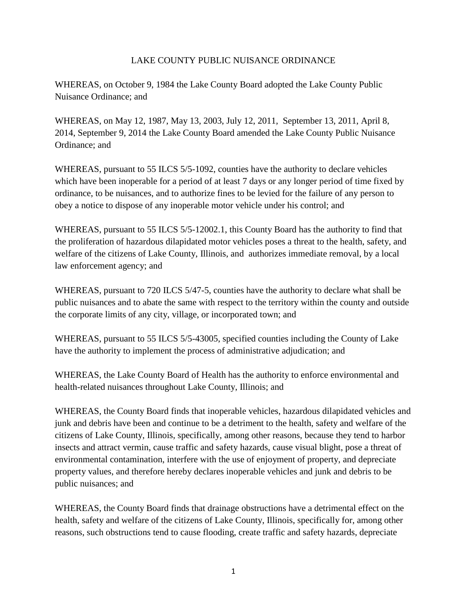# LAKE COUNTY PUBLIC NUISANCE ORDINANCE

WHEREAS, on October 9, 1984 the Lake County Board adopted the Lake County Public Nuisance Ordinance; and

WHEREAS, on May 12, 1987, May 13, 2003, July 12, 2011, September 13, 2011, April 8, 2014, September 9, 2014 the Lake County Board amended the Lake County Public Nuisance Ordinance; and

WHEREAS, pursuant to 55 ILCS 5/5-1092, counties have the authority to declare vehicles which have been inoperable for a period of at least 7 days or any longer period of time fixed by ordinance, to be nuisances, and to authorize fines to be levied for the failure of any person to obey a notice to dispose of any inoperable motor vehicle under his control; and

WHEREAS, pursuant to 55 ILCS 5/5-12002.1, this County Board has the authority to find that the proliferation of hazardous dilapidated motor vehicles poses a threat to the health, safety, and welfare of the citizens of Lake County, Illinois, and authorizes immediate removal, by a local law enforcement agency; and

WHEREAS, pursuant to 720 ILCS 5/47-5, counties have the authority to declare what shall be public nuisances and to abate the same with respect to the territory within the county and outside the corporate limits of any city, village, or incorporated town; and

WHEREAS, pursuant to 55 ILCS 5/5-43005, specified counties including the County of Lake have the authority to implement the process of administrative adjudication; and

WHEREAS, the Lake County Board of Health has the authority to enforce environmental and health-related nuisances throughout Lake County, Illinois; and

WHEREAS, the County Board finds that inoperable vehicles, hazardous dilapidated vehicles and junk and debris have been and continue to be a detriment to the health, safety and welfare of the citizens of Lake County, Illinois, specifically, among other reasons, because they tend to harbor insects and attract vermin, cause traffic and safety hazards, cause visual blight, pose a threat of environmental contamination, interfere with the use of enjoyment of property, and depreciate property values, and therefore hereby declares inoperable vehicles and junk and debris to be public nuisances; and

WHEREAS, the County Board finds that drainage obstructions have a detrimental effect on the health, safety and welfare of the citizens of Lake County, Illinois, specifically for, among other reasons, such obstructions tend to cause flooding, create traffic and safety hazards, depreciate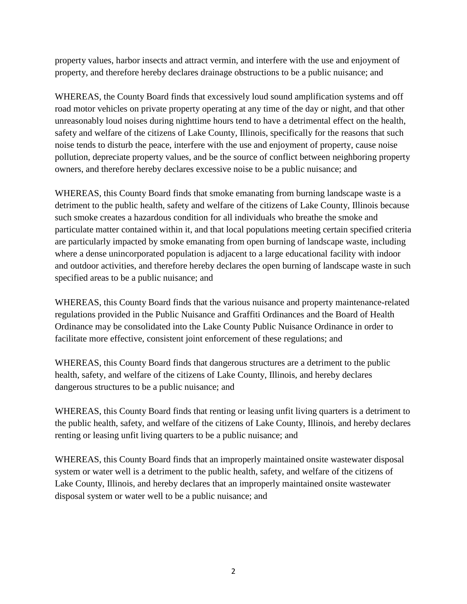property values, harbor insects and attract vermin, and interfere with the use and enjoyment of property, and therefore hereby declares drainage obstructions to be a public nuisance; and

WHEREAS, the County Board finds that excessively loud sound amplification systems and off road motor vehicles on private property operating at any time of the day or night, and that other unreasonably loud noises during nighttime hours tend to have a detrimental effect on the health, safety and welfare of the citizens of Lake County, Illinois, specifically for the reasons that such noise tends to disturb the peace, interfere with the use and enjoyment of property, cause noise pollution, depreciate property values, and be the source of conflict between neighboring property owners, and therefore hereby declares excessive noise to be a public nuisance; and

WHEREAS, this County Board finds that smoke emanating from burning landscape waste is a detriment to the public health, safety and welfare of the citizens of Lake County, Illinois because such smoke creates a hazardous condition for all individuals who breathe the smoke and particulate matter contained within it, and that local populations meeting certain specified criteria are particularly impacted by smoke emanating from open burning of landscape waste, including where a dense unincorporated population is adjacent to a large educational facility with indoor and outdoor activities, and therefore hereby declares the open burning of landscape waste in such specified areas to be a public nuisance; and

WHEREAS, this County Board finds that the various nuisance and property maintenance-related regulations provided in the Public Nuisance and Graffiti Ordinances and the Board of Health Ordinance may be consolidated into the Lake County Public Nuisance Ordinance in order to facilitate more effective, consistent joint enforcement of these regulations; and

WHEREAS, this County Board finds that dangerous structures are a detriment to the public health, safety, and welfare of the citizens of Lake County, Illinois, and hereby declares dangerous structures to be a public nuisance; and

WHEREAS, this County Board finds that renting or leasing unfit living quarters is a detriment to the public health, safety, and welfare of the citizens of Lake County, Illinois, and hereby declares renting or leasing unfit living quarters to be a public nuisance; and

WHEREAS, this County Board finds that an improperly maintained onsite wastewater disposal system or water well is a detriment to the public health, safety, and welfare of the citizens of Lake County, Illinois, and hereby declares that an improperly maintained onsite wastewater disposal system or water well to be a public nuisance; and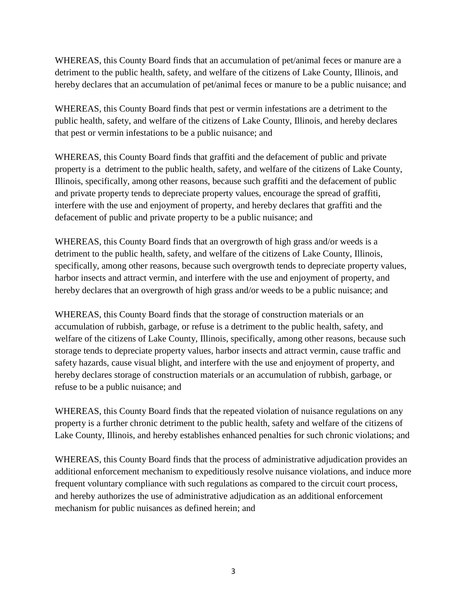WHEREAS, this County Board finds that an accumulation of pet/animal feces or manure are a detriment to the public health, safety, and welfare of the citizens of Lake County, Illinois, and hereby declares that an accumulation of pet/animal feces or manure to be a public nuisance; and

WHEREAS, this County Board finds that pest or vermin infestations are a detriment to the public health, safety, and welfare of the citizens of Lake County, Illinois, and hereby declares that pest or vermin infestations to be a public nuisance; and

WHEREAS, this County Board finds that graffiti and the defacement of public and private property is a detriment to the public health, safety, and welfare of the citizens of Lake County, Illinois, specifically, among other reasons, because such graffiti and the defacement of public and private property tends to depreciate property values, encourage the spread of graffiti, interfere with the use and enjoyment of property, and hereby declares that graffiti and the defacement of public and private property to be a public nuisance; and

WHEREAS, this County Board finds that an overgrowth of high grass and/or weeds is a detriment to the public health, safety, and welfare of the citizens of Lake County, Illinois, specifically, among other reasons, because such overgrowth tends to depreciate property values, harbor insects and attract vermin, and interfere with the use and enjoyment of property, and hereby declares that an overgrowth of high grass and/or weeds to be a public nuisance; and

WHEREAS, this County Board finds that the storage of construction materials or an accumulation of rubbish, garbage, or refuse is a detriment to the public health, safety, and welfare of the citizens of Lake County, Illinois, specifically, among other reasons, because such storage tends to depreciate property values, harbor insects and attract vermin, cause traffic and safety hazards, cause visual blight, and interfere with the use and enjoyment of property, and hereby declares storage of construction materials or an accumulation of rubbish, garbage, or refuse to be a public nuisance; and

WHEREAS, this County Board finds that the repeated violation of nuisance regulations on any property is a further chronic detriment to the public health, safety and welfare of the citizens of Lake County, Illinois, and hereby establishes enhanced penalties for such chronic violations; and

WHEREAS, this County Board finds that the process of administrative adjudication provides an additional enforcement mechanism to expeditiously resolve nuisance violations, and induce more frequent voluntary compliance with such regulations as compared to the circuit court process, and hereby authorizes the use of administrative adjudication as an additional enforcement mechanism for public nuisances as defined herein; and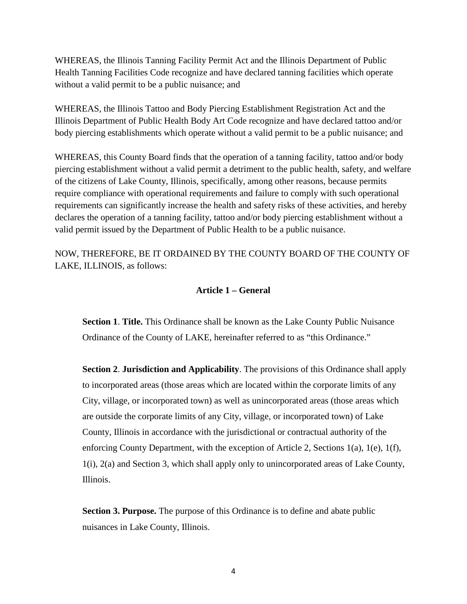WHEREAS, the Illinois Tanning Facility Permit Act and the Illinois Department of Public Health Tanning Facilities Code recognize and have declared tanning facilities which operate without a valid permit to be a public nuisance; and

WHEREAS, the Illinois Tattoo and Body Piercing Establishment Registration Act and the Illinois Department of Public Health Body Art Code recognize and have declared tattoo and/or body piercing establishments which operate without a valid permit to be a public nuisance; and

WHEREAS, this County Board finds that the operation of a tanning facility, tattoo and/or body piercing establishment without a valid permit a detriment to the public health, safety, and welfare of the citizens of Lake County, Illinois, specifically, among other reasons, because permits require compliance with operational requirements and failure to comply with such operational requirements can significantly increase the health and safety risks of these activities, and hereby declares the operation of a tanning facility, tattoo and/or body piercing establishment without a valid permit issued by the Department of Public Health to be a public nuisance.

NOW, THEREFORE, BE IT ORDAINED BY THE COUNTY BOARD OF THE COUNTY OF LAKE, ILLINOIS, as follows:

## **Article 1 – General**

**Section 1**. **Title.** This Ordinance shall be known as the Lake County Public Nuisance Ordinance of the County of LAKE, hereinafter referred to as "this Ordinance."

**Section 2**. **Jurisdiction and Applicability**. The provisions of this Ordinance shall apply to incorporated areas (those areas which are located within the corporate limits of any City, village, or incorporated town) as well as unincorporated areas (those areas which are outside the corporate limits of any City, village, or incorporated town) of Lake County, Illinois in accordance with the jurisdictional or contractual authority of the enforcing County Department, with the exception of Article 2, Sections 1(a), 1(e), 1(f), 1(i), 2(a) and Section 3, which shall apply only to unincorporated areas of Lake County, Illinois.

**Section 3. Purpose.** The purpose of this Ordinance is to define and abate public nuisances in Lake County, Illinois.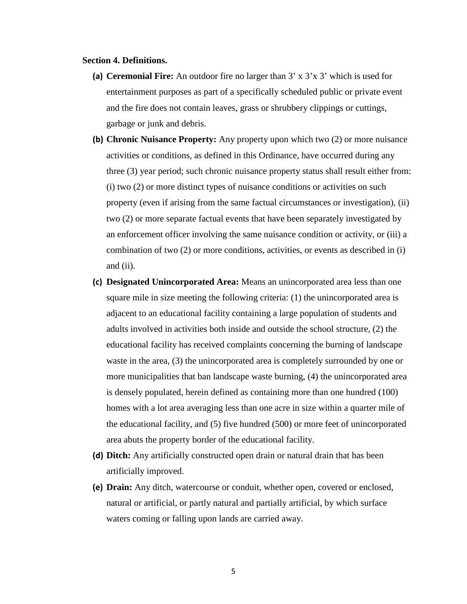#### **Section 4. Definitions.**

- **(a) Ceremonial Fire:** An outdoor fire no larger than 3' x 3'x 3' which is used for entertainment purposes as part of a specifically scheduled public or private event and the fire does not contain leaves, grass or shrubbery clippings or cuttings, garbage or junk and debris.
- **(b) Chronic Nuisance Property:** Any property upon which two (2) or more nuisance activities or conditions, as defined in this Ordinance, have occurred during any three (3) year period; such chronic nuisance property status shall result either from: (i) two (2) or more distinct types of nuisance conditions or activities on such property (even if arising from the same factual circumstances or investigation), (ii) two (2) or more separate factual events that have been separately investigated by an enforcement officer involving the same nuisance condition or activity, or (iii) a combination of two (2) or more conditions, activities, or events as described in (i) and (ii).
- **(c) Designated Unincorporated Area:** Means an unincorporated area less than one square mile in size meeting the following criteria: (1) the unincorporated area is adjacent to an educational facility containing a large population of students and adults involved in activities both inside and outside the school structure, (2) the educational facility has received complaints concerning the burning of landscape waste in the area, (3) the unincorporated area is completely surrounded by one or more municipalities that ban landscape waste burning, (4) the unincorporated area is densely populated, herein defined as containing more than one hundred (100) homes with a lot area averaging less than one acre in size within a quarter mile of the educational facility, and (5) five hundred (500) or more feet of unincorporated area abuts the property border of the educational facility.
- **(d) Ditch:** Any artificially constructed open drain or natural drain that has been artificially improved.
- **(e) Drain:** Any ditch, watercourse or conduit, whether open, covered or enclosed, natural or artificial, or partly natural and partially artificial, by which surface waters coming or falling upon lands are carried away.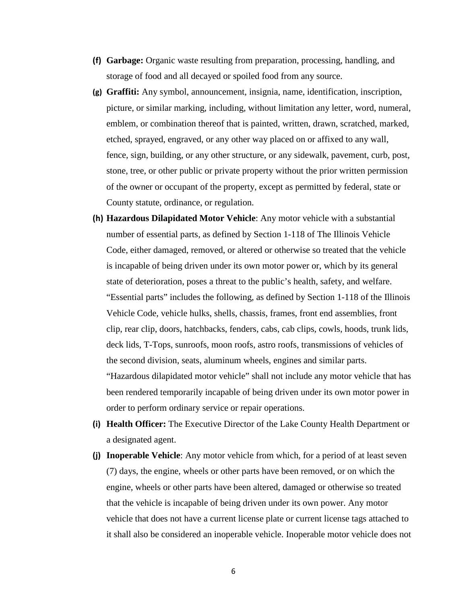- **(f) Garbage:** Organic waste resulting from preparation, processing, handling, and storage of food and all decayed or spoiled food from any source.
- **(g) Graffiti:** Any symbol, announcement, insignia, name, identification, inscription, picture, or similar marking, including, without limitation any letter, word, numeral, emblem, or combination thereof that is painted, written, drawn, scratched, marked, etched, sprayed, engraved, or any other way placed on or affixed to any wall, fence, sign, building, or any other structure, or any sidewalk, pavement, curb, post, stone, tree, or other public or private property without the prior written permission of the owner or occupant of the property, except as permitted by federal, state or County statute, ordinance, or regulation.
- **(h) Hazardous Dilapidated Motor Vehicle**: Any motor vehicle with a substantial number of essential parts, as defined by Section 1-118 of The Illinois Vehicle Code, either damaged, removed, or altered or otherwise so treated that the vehicle is incapable of being driven under its own motor power or, which by its general state of deterioration, poses a threat to the public's health, safety, and welfare. "Essential parts" includes the following, as defined by Section 1-118 of the Illinois Vehicle Code, vehicle hulks, shells, chassis, frames, front end assemblies, front clip, rear clip, doors, hatchbacks, fenders, cabs, cab clips, cowls, hoods, trunk lids, deck lids, T-Tops, sunroofs, moon roofs, astro roofs, transmissions of vehicles of the second division, seats, aluminum wheels, engines and similar parts. "Hazardous dilapidated motor vehicle" shall not include any motor vehicle that has been rendered temporarily incapable of being driven under its own motor power in order to perform ordinary service or repair operations.
- **(i) Health Officer:** The Executive Director of the Lake County Health Department or a designated agent.
- **(j) Inoperable Vehicle**: Any motor vehicle from which, for a period of at least seven (7) days, the engine, wheels or other parts have been removed, or on which the engine, wheels or other parts have been altered, damaged or otherwise so treated that the vehicle is incapable of being driven under its own power. Any motor vehicle that does not have a current license plate or current license tags attached to it shall also be considered an inoperable vehicle. Inoperable motor vehicle does not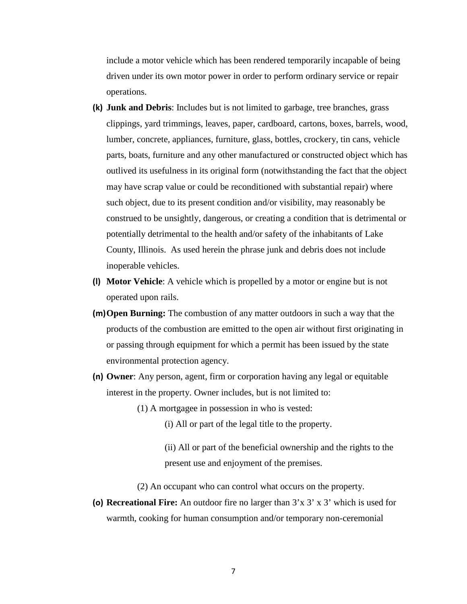include a motor vehicle which has been rendered temporarily incapable of being driven under its own motor power in order to perform ordinary service or repair operations.

- **(k) Junk and Debris**: Includes but is not limited to garbage, tree branches, grass clippings, yard trimmings, leaves, paper, cardboard, cartons, boxes, barrels, wood, lumber, concrete, appliances, furniture, glass, bottles, crockery, tin cans, vehicle parts, boats, furniture and any other manufactured or constructed object which has outlived its usefulness in its original form (notwithstanding the fact that the object may have scrap value or could be reconditioned with substantial repair) where such object, due to its present condition and/or visibility, may reasonably be construed to be unsightly, dangerous, or creating a condition that is detrimental or potentially detrimental to the health and/or safety of the inhabitants of Lake County, Illinois. As used herein the phrase junk and debris does not include inoperable vehicles.
- **(l) Motor Vehicle**: A vehicle which is propelled by a motor or engine but is not operated upon rails.
- **(m)Open Burning:** The combustion of any matter outdoors in such a way that the products of the combustion are emitted to the open air without first originating in or passing through equipment for which a permit has been issued by the state environmental protection agency.
- **(n) Owner**: Any person, agent, firm or corporation having any legal or equitable interest in the property. Owner includes, but is not limited to:
	- (1) A mortgagee in possession in who is vested:
		- (i) All or part of the legal title to the property.

(ii) All or part of the beneficial ownership and the rights to the present use and enjoyment of the premises.

- (2) An occupant who can control what occurs on the property.
- **(o) Recreational Fire:** An outdoor fire no larger than 3'x 3' x 3' which is used for warmth, cooking for human consumption and/or temporary non-ceremonial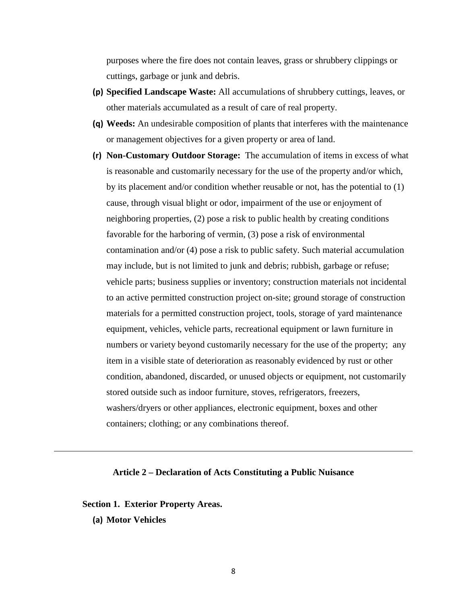purposes where the fire does not contain leaves, grass or shrubbery clippings or cuttings, garbage or junk and debris.

- **(p) Specified Landscape Waste:** All accumulations of shrubbery cuttings, leaves, or other materials accumulated as a result of care of real property.
- **(q) Weeds:** An undesirable composition of plants that interferes with the maintenance or management objectives for a given property or area of land.
- **(r) Non-Customary Outdoor Storage:** The accumulation of items in excess of what is reasonable and customarily necessary for the use of the property and/or which, by its placement and/or condition whether reusable or not, has the potential to (1) cause, through visual blight or odor, impairment of the use or enjoyment of neighboring properties, (2) pose a risk to public health by creating conditions favorable for the harboring of vermin, (3) pose a risk of environmental contamination and/or (4) pose a risk to public safety. Such material accumulation may include, but is not limited to junk and debris; rubbish, garbage or refuse; vehicle parts; business supplies or inventory; construction materials not incidental to an active permitted construction project on-site; ground storage of construction materials for a permitted construction project, tools, storage of yard maintenance equipment, vehicles, vehicle parts, recreational equipment or lawn furniture in numbers or variety beyond customarily necessary for the use of the property; any item in a visible state of deterioration as reasonably evidenced by rust or other condition, abandoned, discarded, or unused objects or equipment, not customarily stored outside such as indoor furniture, stoves, refrigerators, freezers, washers/dryers or other appliances, electronic equipment, boxes and other containers; clothing; or any combinations thereof.

### **Article 2 – Declaration of Acts Constituting a Public Nuisance**

**Section 1. Exterior Property Areas.**

**(a) Motor Vehicles**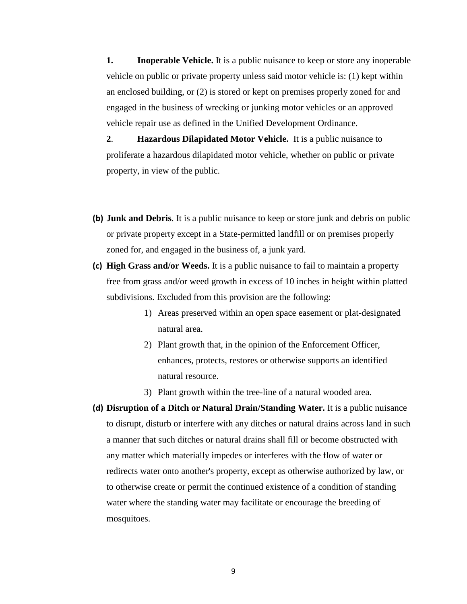**1. Inoperable Vehicle.** It is a public nuisance to keep or store any inoperable vehicle on public or private property unless said motor vehicle is: (1) kept within an enclosed building, or (2) is stored or kept on premises properly zoned for and engaged in the business of wrecking or junking motor vehicles or an approved vehicle repair use as defined in the Unified Development Ordinance.

**2**. **Hazardous Dilapidated Motor Vehicle.** It is a public nuisance to proliferate a hazardous dilapidated motor vehicle, whether on public or private property, in view of the public.

- **(b) Junk and Debris**. It is a public nuisance to keep or store junk and debris on public or private property except in a State-permitted landfill or on premises properly zoned for, and engaged in the business of, a junk yard.
- **(c) High Grass and/or Weeds.** It is a public nuisance to fail to maintain a property free from grass and/or weed growth in excess of 10 inches in height within platted subdivisions. Excluded from this provision are the following:
	- 1) Areas preserved within an open space easement or plat-designated natural area.
	- 2) Plant growth that, in the opinion of the Enforcement Officer, enhances, protects, restores or otherwise supports an identified natural resource.
	- 3) Plant growth within the tree-line of a natural wooded area.
- **(d) Disruption of a Ditch or Natural Drain/Standing Water.** It is a public nuisance to disrupt, disturb or interfere with any ditches or natural drains across land in such a manner that such ditches or natural drains shall fill or become obstructed with any matter which materially impedes or interferes with the flow of water or redirects water onto another's property, except as otherwise authorized by law, or to otherwise create or permit the continued existence of a condition of standing water where the standing water may facilitate or encourage the breeding of mosquitoes.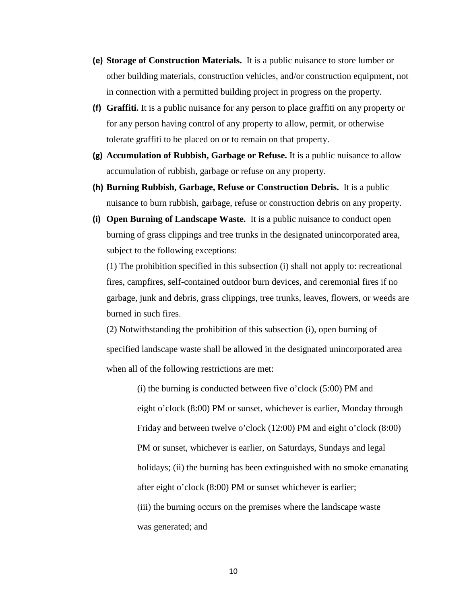- **(e) Storage of Construction Materials.** It is a public nuisance to store lumber or other building materials, construction vehicles, and/or construction equipment, not in connection with a permitted building project in progress on the property.
- **(f) Graffiti.** It is a public nuisance for any person to place graffiti on any property or for any person having control of any property to allow, permit, or otherwise tolerate graffiti to be placed on or to remain on that property.
- **(g) Accumulation of Rubbish, Garbage or Refuse.** It is a public nuisance to allow accumulation of rubbish, garbage or refuse on any property.
- **(h) Burning Rubbish, Garbage, Refuse or Construction Debris.** It is a public nuisance to burn rubbish, garbage, refuse or construction debris on any property.
- **(i) Open Burning of Landscape Waste.** It is a public nuisance to conduct open burning of grass clippings and tree trunks in the designated unincorporated area, subject to the following exceptions:

(1) The prohibition specified in this subsection (i) shall not apply to: recreational fires, campfires, self-contained outdoor burn devices, and ceremonial fires if no garbage, junk and debris, grass clippings, tree trunks, leaves, flowers, or weeds are burned in such fires.

(2) Notwithstanding the prohibition of this subsection (i), open burning of specified landscape waste shall be allowed in the designated unincorporated area when all of the following restrictions are met:

> $(i)$  the burning is conducted between five o'clock  $(5:00)$  PM and eight o'clock (8:00) PM or sunset, whichever is earlier, Monday through Friday and between twelve o'clock (12:00) PM and eight o'clock (8:00) PM or sunset, whichever is earlier, on Saturdays, Sundays and legal holidays; (ii) the burning has been extinguished with no smoke emanating after eight o'clock (8:00) PM or sunset whichever is earlier; (iii) the burning occurs on the premises where the landscape waste

was generated; and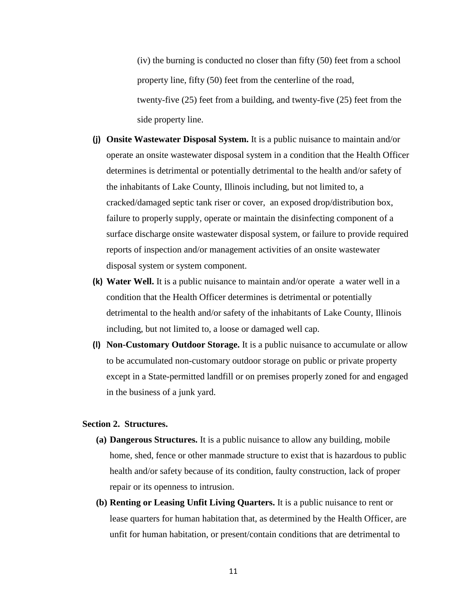(iv) the burning is conducted no closer than fifty (50) feet from a school property line, fifty (50) feet from the centerline of the road, twenty-five (25) feet from a building, and twenty-five (25) feet from the side property line.

- **(j) Onsite Wastewater Disposal System.** It is a public nuisance to maintain and/or operate an onsite wastewater disposal system in a condition that the Health Officer determines is detrimental or potentially detrimental to the health and/or safety of the inhabitants of Lake County, Illinois including, but not limited to, a cracked/damaged septic tank riser or cover, an exposed drop/distribution box, failure to properly supply, operate or maintain the disinfecting component of a surface discharge onsite wastewater disposal system, or failure to provide required reports of inspection and/or management activities of an onsite wastewater disposal system or system component.
- **(k) Water Well.** It is a public nuisance to maintain and/or operate a water well in a condition that the Health Officer determines is detrimental or potentially detrimental to the health and/or safety of the inhabitants of Lake County, Illinois including, but not limited to, a loose or damaged well cap.
- **(l) Non-Customary Outdoor Storage.** It is a public nuisance to accumulate or allow to be accumulated non-customary outdoor storage on public or private property except in a State-permitted landfill or on premises properly zoned for and engaged in the business of a junk yard.

## **Section 2. Structures.**

- **(a) Dangerous Structures.** It is a public nuisance to allow any building, mobile home, shed, fence or other manmade structure to exist that is hazardous to public health and/or safety because of its condition, faulty construction, lack of proper repair or its openness to intrusion.
- **(b) Renting or Leasing Unfit Living Quarters.** It is a public nuisance to rent or lease quarters for human habitation that, as determined by the Health Officer, are unfit for human habitation, or present/contain conditions that are detrimental to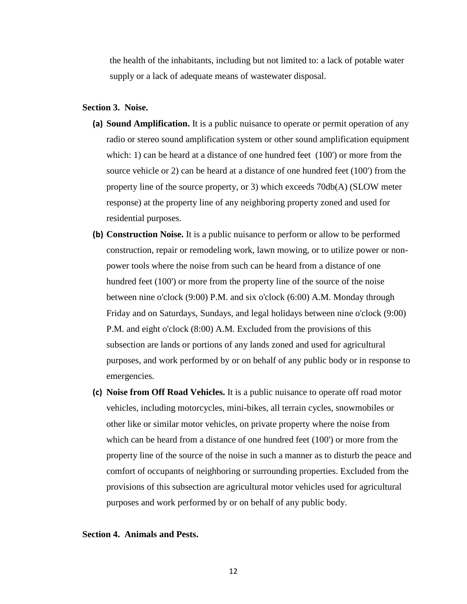the health of the inhabitants, including but not limited to: a lack of potable water supply or a lack of adequate means of wastewater disposal.

### **Section 3. Noise.**

- **(a) Sound Amplification.** It is a public nuisance to operate or permit operation of any radio or stereo sound amplification system or other sound amplification equipment which: 1) can be heard at a distance of one hundred feet (100') or more from the source vehicle or 2) can be heard at a distance of one hundred feet (100') from the property line of the source property, or 3) which exceeds 70db(A) (SLOW meter response) at the property line of any neighboring property zoned and used for residential purposes.
- **(b) Construction Noise.** It is a public nuisance to perform or allow to be performed construction, repair or remodeling work, lawn mowing, or to utilize power or nonpower tools where the noise from such can be heard from a distance of one hundred feet (100') or more from the property line of the source of the noise between nine o'clock (9:00) P.M. and six o'clock (6:00) A.M. Monday through Friday and on Saturdays, Sundays, and legal holidays between nine o'clock (9:00) P.M. and eight o'clock (8:00) A.M. Excluded from the provisions of this subsection are lands or portions of any lands zoned and used for agricultural purposes, and work performed by or on behalf of any public body or in response to emergencies.
- **(c) Noise from Off Road Vehicles.** It is a public nuisance to operate off road motor vehicles, including motorcycles, mini-bikes, all terrain cycles, snowmobiles or other like or similar motor vehicles, on private property where the noise from which can be heard from a distance of one hundred feet (100') or more from the property line of the source of the noise in such a manner as to disturb the peace and comfort of occupants of neighboring or surrounding properties. Excluded from the provisions of this subsection are agricultural motor vehicles used for agricultural purposes and work performed by or on behalf of any public body.

# **Section 4. Animals and Pests.**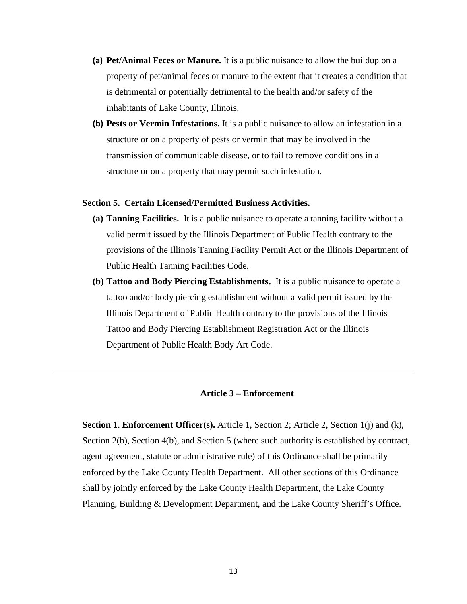- **(a) Pet/Animal Feces or Manure.** It is a public nuisance to allow the buildup on a property of pet/animal feces or manure to the extent that it creates a condition that is detrimental or potentially detrimental to the health and/or safety of the inhabitants of Lake County, Illinois.
- **(b) Pests or Vermin Infestations.** It is a public nuisance to allow an infestation in a structure or on a property of pests or vermin that may be involved in the transmission of communicable disease, or to fail to remove conditions in a structure or on a property that may permit such infestation.

# **Section 5. Certain Licensed/Permitted Business Activities.**

- **(a) Tanning Facilities.** It is a public nuisance to operate a tanning facility without a valid permit issued by the Illinois Department of Public Health contrary to the provisions of the Illinois Tanning Facility Permit Act or the Illinois Department of Public Health Tanning Facilities Code.
- **(b) Tattoo and Body Piercing Establishments.** It is a public nuisance to operate a tattoo and/or body piercing establishment without a valid permit issued by the Illinois Department of Public Health contrary to the provisions of the Illinois Tattoo and Body Piercing Establishment Registration Act or the Illinois Department of Public Health Body Art Code.

### **Article 3 – Enforcement**

**Section 1. Enforcement Officer(s).** Article 1, Section 2; Article 2, Section 1(j) and (k), Section 2(b), Section 4(b), and Section 5 (where such authority is established by contract, agent agreement, statute or administrative rule) of this Ordinance shall be primarily enforced by the Lake County Health Department. All other sections of this Ordinance shall by jointly enforced by the Lake County Health Department, the Lake County Planning, Building & Development Department, and the Lake County Sheriff's Office.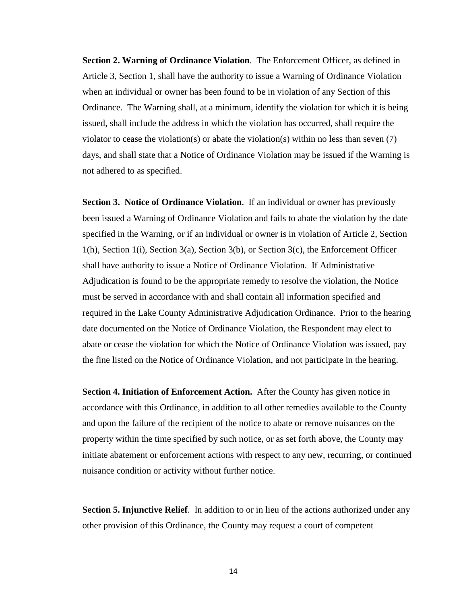**Section 2. Warning of Ordinance Violation**. The Enforcement Officer, as defined in Article 3, Section 1, shall have the authority to issue a Warning of Ordinance Violation when an individual or owner has been found to be in violation of any Section of this Ordinance. The Warning shall, at a minimum, identify the violation for which it is being issued, shall include the address in which the violation has occurred, shall require the violator to cease the violation(s) or abate the violation(s) within no less than seven (7) days, and shall state that a Notice of Ordinance Violation may be issued if the Warning is not adhered to as specified.

**Section 3. Notice of Ordinance Violation.** If an individual or owner has previously been issued a Warning of Ordinance Violation and fails to abate the violation by the date specified in the Warning, or if an individual or owner is in violation of Article 2, Section 1(h), Section 1(i), Section 3(a), Section 3(b), or Section 3(c), the Enforcement Officer shall have authority to issue a Notice of Ordinance Violation. If Administrative Adjudication is found to be the appropriate remedy to resolve the violation, the Notice must be served in accordance with and shall contain all information specified and required in the Lake County Administrative Adjudication Ordinance. Prior to the hearing date documented on the Notice of Ordinance Violation, the Respondent may elect to abate or cease the violation for which the Notice of Ordinance Violation was issued, pay the fine listed on the Notice of Ordinance Violation, and not participate in the hearing.

**Section 4. Initiation of Enforcement Action.** After the County has given notice in accordance with this Ordinance, in addition to all other remedies available to the County and upon the failure of the recipient of the notice to abate or remove nuisances on the property within the time specified by such notice, or as set forth above, the County may initiate abatement or enforcement actions with respect to any new, recurring, or continued nuisance condition or activity without further notice.

**Section 5. Injunctive Relief.** In addition to or in lieu of the actions authorized under any other provision of this Ordinance, the County may request a court of competent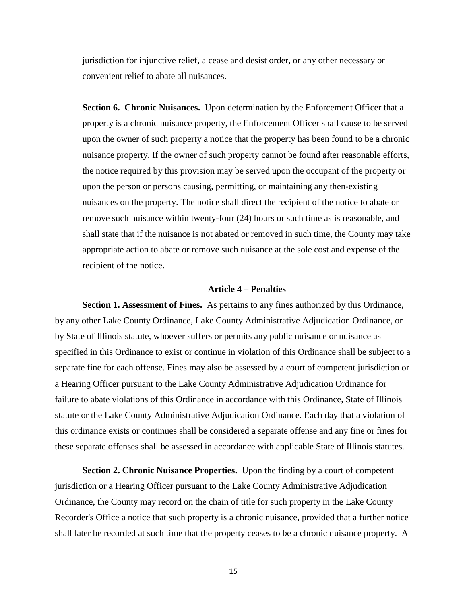jurisdiction for injunctive relief, a cease and desist order, or any other necessary or convenient relief to abate all nuisances.

**Section 6. Chronic Nuisances.** Upon determination by the Enforcement Officer that a property is a chronic nuisance property, the Enforcement Officer shall cause to be served upon the owner of such property a notice that the property has been found to be a chronic nuisance property. If the owner of such property cannot be found after reasonable efforts, the notice required by this provision may be served upon the occupant of the property or upon the person or persons causing, permitting, or maintaining any then-existing nuisances on the property. The notice shall direct the recipient of the notice to abate or remove such nuisance within twenty-four (24) hours or such time as is reasonable, and shall state that if the nuisance is not abated or removed in such time, the County may take appropriate action to abate or remove such nuisance at the sole cost and expense of the recipient of the notice.

# **Article 4 – Penalties**

**Section 1. Assessment of Fines.** As pertains to any fines authorized by this Ordinance, by any other Lake County Ordinance, Lake County Administrative Adjudication Ordinance, or by State of Illinois statute, whoever suffers or permits any public nuisance or nuisance as specified in this Ordinance to exist or continue in violation of this Ordinance shall be subject to a separate fine for each offense. Fines may also be assessed by a court of competent jurisdiction or a Hearing Officer pursuant to the Lake County Administrative Adjudication Ordinance for failure to abate violations of this Ordinance in accordance with this Ordinance, State of Illinois statute or the Lake County Administrative Adjudication Ordinance. Each day that a violation of this ordinance exists or continues shall be considered a separate offense and any fine or fines for these separate offenses shall be assessed in accordance with applicable State of Illinois statutes.

**Section 2. Chronic Nuisance Properties.** Upon the finding by a court of competent jurisdiction or a Hearing Officer pursuant to the Lake County Administrative Adjudication Ordinance, the County may record on the chain of title for such property in the Lake County Recorder's Office a notice that such property is a chronic nuisance, provided that a further notice shall later be recorded at such time that the property ceases to be a chronic nuisance property. A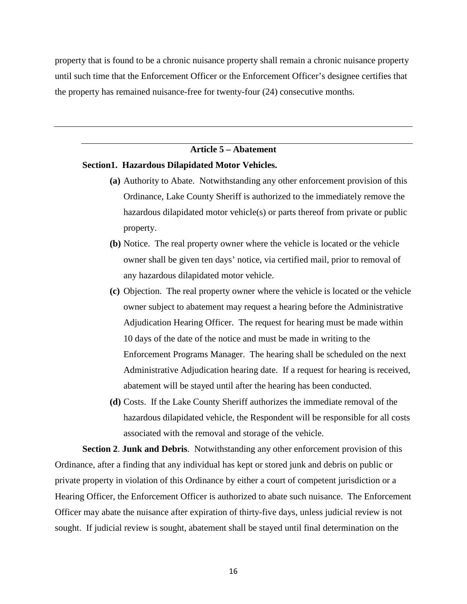property that is found to be a chronic nuisance property shall remain a chronic nuisance property until such time that the Enforcement Officer or the Enforcement Officer's designee certifies that the property has remained nuisance-free for twenty-four (24) consecutive months.

# **Article 5 – Abatement**

#### **Section1. Hazardous Dilapidated Motor Vehicles.**

- **(a)** Authority to Abate. Notwithstanding any other enforcement provision of this Ordinance, Lake County Sheriff is authorized to the immediately remove the hazardous dilapidated motor vehicle(s) or parts thereof from private or public property.
- **(b)** Notice. The real property owner where the vehicle is located or the vehicle owner shall be given ten days' notice, via certified mail, prior to removal of any hazardous dilapidated motor vehicle.
- **(c)** Objection. The real property owner where the vehicle is located or the vehicle owner subject to abatement may request a hearing before the Administrative Adjudication Hearing Officer. The request for hearing must be made within 10 days of the date of the notice and must be made in writing to the Enforcement Programs Manager. The hearing shall be scheduled on the next Administrative Adjudication hearing date. If a request for hearing is received, abatement will be stayed until after the hearing has been conducted.
- **(d)** Costs. If the Lake County Sheriff authorizes the immediate removal of the hazardous dilapidated vehicle, the Respondent will be responsible for all costs associated with the removal and storage of the vehicle.

**Section 2**. **Junk and Debris**.Notwithstanding any other enforcement provision of this Ordinance, after a finding that any individual has kept or stored junk and debris on public or private property in violation of this Ordinance by either a court of competent jurisdiction or a Hearing Officer, the Enforcement Officer is authorized to abate such nuisance. The Enforcement Officer may abate the nuisance after expiration of thirty-five days, unless judicial review is not sought. If judicial review is sought, abatement shall be stayed until final determination on the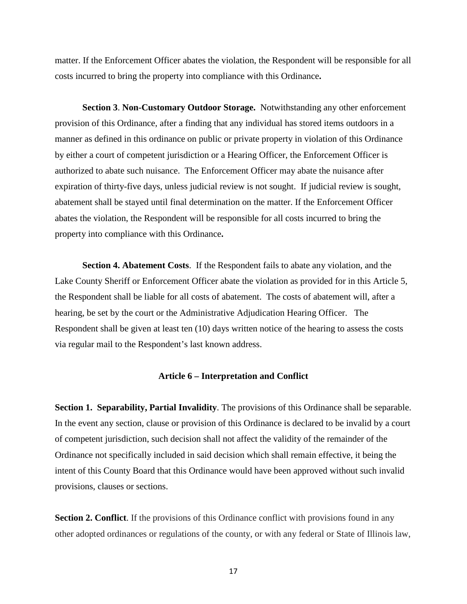matter. If the Enforcement Officer abates the violation, the Respondent will be responsible for all costs incurred to bring the property into compliance with this Ordinance**.** 

**Section 3**. **Non-Customary Outdoor Storage.** Notwithstanding any other enforcement provision of this Ordinance, after a finding that any individual has stored items outdoors in a manner as defined in this ordinance on public or private property in violation of this Ordinance by either a court of competent jurisdiction or a Hearing Officer, the Enforcement Officer is authorized to abate such nuisance. The Enforcement Officer may abate the nuisance after expiration of thirty-five days, unless judicial review is not sought. If judicial review is sought, abatement shall be stayed until final determination on the matter. If the Enforcement Officer abates the violation, the Respondent will be responsible for all costs incurred to bring the property into compliance with this Ordinance**.**

**Section 4. Abatement Costs**. If the Respondent fails to abate any violation, and the Lake County Sheriff or Enforcement Officer abate the violation as provided for in this Article 5, the Respondent shall be liable for all costs of abatement. The costs of abatement will, after a hearing, be set by the court or the Administrative Adjudication Hearing Officer. The Respondent shall be given at least ten (10) days written notice of the hearing to assess the costs via regular mail to the Respondent's last known address.

#### **Article 6 – Interpretation and Conflict**

**Section 1. Separability, Partial Invalidity**. The provisions of this Ordinance shall be separable. In the event any section, clause or provision of this Ordinance is declared to be invalid by a court of competent jurisdiction, such decision shall not affect the validity of the remainder of the Ordinance not specifically included in said decision which shall remain effective, it being the intent of this County Board that this Ordinance would have been approved without such invalid provisions, clauses or sections.

**Section 2. Conflict**. If the provisions of this Ordinance conflict with provisions found in any other adopted ordinances or regulations of the county, or with any federal or State of Illinois law,